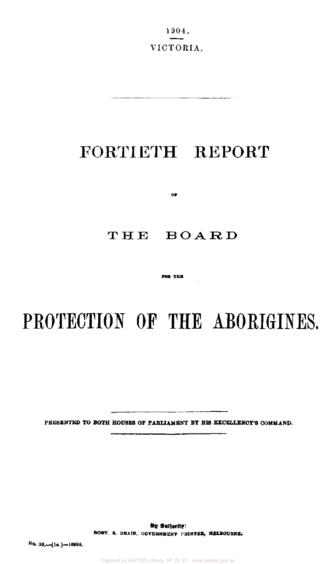1904. VICTORIA.

. *. . . .* . . . .

# FORTIETH REPORT

OP.

# **THE BOARD**

**FOB THE** 

# **PROTECTION OF THE ABORIGINES.**

PRESENTED TO BOTH HOUSES OF PARLIAMENT BY HIS EXCELLENCY'S COMMAND.

**By Authority: ROBT. S. BRAIN, GOVERNMENT PRINTER, MELBOURNE.** 

**No. 39.\_[ls.]—10988.**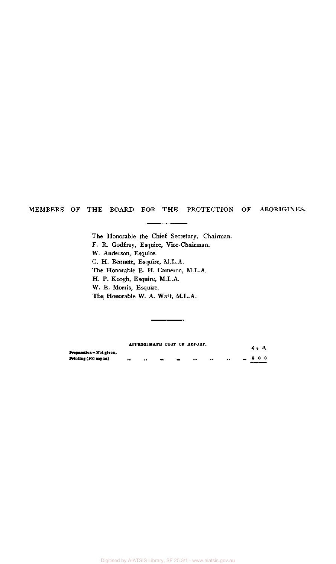#### MEMBERS OF THE BOARD FOR THE PROTECTION OF ABORIGINES.

The Honorable the Chief Secretary, Chairman. F. R. Godfrey, Esquire, Vice-Chairman. W. Anderson, Esquire. G. H. Bennett, Esquire, M.L.A. The Honorable E. H. Cameron, M.L.A. H. P. Keogh, Esquire, M.L.A. W. E. Morris, Esquire. The Honorable W. A. Watt, M.L.A.

|                        | APPROXIMATE COST OF REPORT. |   |               |           | £ 8. d. |
|------------------------|-----------------------------|---|---------------|-----------|---------|
| Preparation-Not given. |                             |   |               |           |         |
| Printing (400 copies)  | <br>                        | - | <br>$\bullet$ | $\bullet$ | 8 O O   |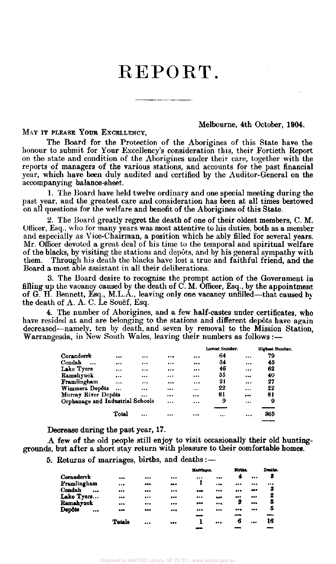# REPORT.

#### Melbourne, 4th October, 1904.

MAY IT PLEASE YOUR EXCELLENCY,

The Board for the Protection of the Aborigines of this State have the honour to submit for Your Excellency's consideration this, their Fortieth Report on the state and condition of the Aborigines under their care, together with the reports of managers of the various stations, and accounts for the past financial year, which have been duly audited and certified by the Auditor-General on the accompanying balance-sheet.

1. The Board have held twelve ordinary and one special meeting during the past year, and the greatest care and consideration has been at all times bestowed on all questions for the welfare and benefit of the Aborigines of this State.

2. The Board greatly regret the death of one of their oldest members, C. M. Officer, Esq., who for many years was most attentive to his duties, both as a member and especially as Vice-Chairman, a position which he ably filled for several years. Mr. Officer devoted a great deal of his time to the temporal and spiritual welfare of the blacks, by visiting the stations and depots, and by his general sympathy with them. Through his death the blacks have lost a true and faithful friend, and the Board a most able assistant in all their deliberations.

3. The Board desire to recognise the prompt action of the Government in filling up the vacancy caused by the death of C. M. Officer, Esq., by the appointment of G. H. Bennett, Esq., M.L.A., leaving only one vacancy unfilled—that caused by the death of A. A. C. Le Souef, Esq.

4. The number of Aborigines, and a few half-castes under certificates, who have resided at and are belonging to the stations and different depôts have again decreased—namely, ten by death, and seven by removal to the Mission Station, Warrangesda, in New South Wales, leaving their numbers as follows :-

|                     |          |                                  |           |    |          | <b>Highest Number.</b> |
|---------------------|----------|----------------------------------|-----------|----|----------|------------------------|
| $\cdots$            |          |                                  |           | 64 |          | 79                     |
|                     |          |                                  |           | 34 |          | 45                     |
| $\cdots$            | $\cdots$ |                                  |           | 46 |          | 62                     |
|                     |          |                                  | $$        | 35 |          | 40                     |
| $\cdots$            |          | $\cdots$                         | $\bullet$ | 21 |          | 27                     |
| $\ddotsc$           |          |                                  |           | 22 | $\cdots$ | 22                     |
| Murray River Depôts |          |                                  |           | 81 |          | 81                     |
|                     |          |                                  |           | 9  |          | 9                      |
|                     |          |                                  |           |    |          |                        |
| Total               |          |                                  |           |    |          | 365                    |
|                     |          | Orphanage and Industrial Schools |           |    |          | Lowest Number.         |

Decrease during the past year, 17.

A few of the old people still enjoy to visit occasionally their old huntinggrounds, but after a short stay return with pleasure to their comfortable homes.

5. Returns of marriages, births, and deaths:—

|                         |                                                                          |                         |        |           |            |                         | Desths. |
|-------------------------|--------------------------------------------------------------------------|-------------------------|--------|-----------|------------|-------------------------|---------|
| $$                      |                                                                          |                         |        |           | 4          |                         | 8       |
|                         |                                                                          |                         |        | $- + -$   |            |                         | ***     |
|                         |                                                                          |                         | $***$  |           |            | <b>***</b>              | 8       |
|                         |                                                                          |                         |        | $\bullet$ | ---        | $\bullet\bullet\bullet$ | 2       |
|                         |                                                                          | $\bullet\bullet\bullet$ | $-0.0$ |           | 2          |                         | 8       |
| $\bullet\bullet\bullet$ | $\begin{array}{ccc}\n\bullet & \bullet & \bullet & \bullet\n\end{array}$ |                         |        |           |            |                         | 5       |
|                         |                                                                          |                         |        |           |            |                         |         |
| Totala                  |                                                                          |                         |        |           | 6          |                         | 16      |
|                         |                                                                          |                         |        |           | Marriages. |                         | Births. |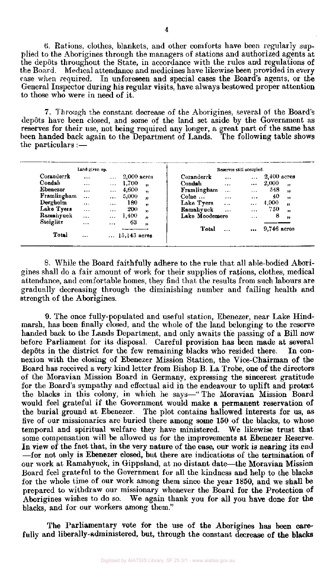(1 Rations, clothes, blankets, and other comforts have been regularly supplied to the Aborigines through the managers of stations and authorized agents at the depots throughout the State, in accordance with the rules and regulations of the Board. Medical attendance and medicines have likewise been provided in every case when required. In unforeseen and special cases the Board's agents, or the General Inspector during his regular visits, have always bestowed proper attention to those who were in need of it.

7. Through the constant decrease of the Aborigines, several of the Board's depôts have been closed, and some of the land set aside by the Government as reserves for their use, not being required any longer, a great part of the same has been handed back again to the Department of Lands. The following table shows the particulars :—

|             | Land given up. |           |                            |                       |           | Reserves still occupied. |               |                         |
|-------------|----------------|-----------|----------------------------|-----------------------|-----------|--------------------------|---------------|-------------------------|
| Coranderrk  | $\ddotsc$      | $\ldots$  | $2,000$ acres              | Coranderrk            | $\cdots$  | $\cdots$                 | $2,400$ acres |                         |
| Condah      | $\cdots$       | $\cdots$  | 1,700<br>$^{\prime}$       | Condah                | $\cdots$  | $\cdots$                 | 2,000         | $\mathbf{v}$            |
| Ebenezer    | $\cdots$       | $\cdots$  | 4,600<br>$^{\ast}$         | Framlingham           | $\cdots$  | $\cdots$                 | 548           | $^{\prime\prime}$       |
| Framlingham | $\cdots$       | $\cdots$  | 5,000<br>$\mathbf{r}$      | $\mathrm{Colac}\dots$ | $\cdots$  | $\ldots$                 | 40            | $\bullet$               |
| Dergholm    | $\cdots$       | $\cdots$  | 180<br>$\mathbf{r}$        | Lake Tyers            | $\ddotsc$ | $\cdots$                 | 4,000         | $^{\prime\prime}$       |
| Lake Tyers  | $\cdots$       | $\ddotsc$ | 200<br>,                   | Ramahyuck             | $\ddotsc$ | $\cdots$                 | 750           | $\overline{\mathbf{v}}$ |
| Ramahyuck   |                | $\cdots$  | 1,400<br>$^{\prime\prime}$ | Lake Moodemere        |           |                          | 8             | $\pmb{\gamma}$          |
| Steiglitz   | $\cdots$       | $\cdots$  | 63<br>$^{\ast}$            |                       |           |                          |               |                         |
|             |                |           |                            | Total                 |           | $\cdots$                 | $9,746$ acres |                         |
| Total       |                |           | $15,143$ acres             |                       |           |                          |               |                         |

8. While the Board faithfully adhere to the rule that all able-bodied Aborigines shall do a fair amount of work for their supplies of rations, clothes, medical attendance, and comfortable homes, they find that the results from such labours are gradually decreasing through the diminishing number and failing health and strength of the Aborigines.

9. The once fully-populated and useful station, Ebenezer, near Lake Hindmarsh, has been finally closed, and the whole of the land belonging to the reserve handed back to the Lands Department, and only awaits the passing of a Bill now before Parliament for its disposal. Careful provision has been made at several depôts in the district for the few remaining blacks who resided there. In connexion with the closing of Ebenezer Mission Station, the Vice-Chairman of the Board has received a very kind letter from Bishop B. La Trobe, one of the directors of the Moravian Mission Board in Germany, expressing the sincerest gratitude for the Board's sympathy and effectual aid in the endeavour to uplift and protect the blacks in this colony, in which he says—" The Moravian Mission Board would feel grateful if the Government would make a permanent reservation of the burial ground at Ebenezer. The plot contains hallowed interests for us, as five of our missionaries are buried there among some 150 of the blacks, to whose temporal and spiritual welfare they have ministered. We likewise trust that some compensation will be allowed us for the improvements at Ebenezer Reserve. In view of the fact that, in the very nature of the case, our work is nearing its end —for not only is Ebenezer closed, but there are indications of the termination of our work at Ramahyuck, in Gippsland, at no distant date—the Moravian Mission Board feel grateful to the Government for all the kindness and help to the blacks for the whole time of our work among them since the year 1850, and we shall be prepared to withdraw our missionary whenever the Board for the Protection of Aborigines wishes to do so. We again thank you for all you have done for the blacks, and for our workers among them."

The Parliamentary vote for the use of the Aborigines has been carefully and liberally-administered, but, through the constant decrease of the blacks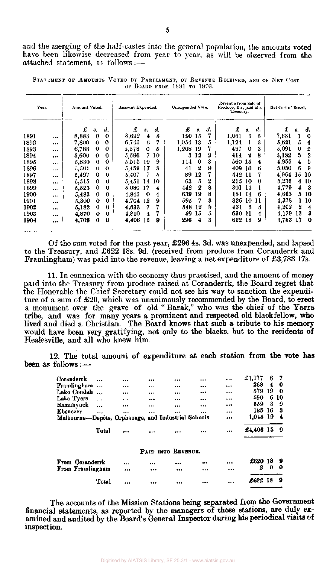and the merging of the half-castes into the general population, the amounts voted have been likewise decreased from year to year, as will be observed from **the**  attached statement, as follows: —

| Year. |          | Amount Voted. |             |          | Amount Expended. |          |                    | Unexpended Vote. |    |    | Revenue from Sale of<br>Produce, &c., paid into<br>Treasury. |     |    | Net Cost of Board. |    |    |  |
|-------|----------|---------------|-------------|----------|------------------|----------|--------------------|------------------|----|----|--------------------------------------------------------------|-----|----|--------------------|----|----|--|
|       |          | £             | $s_{\star}$ | d.       | £                | s.       | $\boldsymbol{d}$ . | £                | 8. | d. | £                                                            | s.  | d. | £                  | 8. | d. |  |
| 1891  | $\cdots$ | 8,883         | $\bf{0}$    | 0        | 8,692            | 4        | 5                  | 190              | 15 | 7  | 1,061                                                        | З   | ā  | 7,631              | ı  | 0  |  |
| 1892  | $***$    | 7,800         | 0           | 0        | 6,745            | 6        | 7                  | 1.054            | 13 | 5  | 1,124                                                        | 1   | 3  | 5,621              | 5  | 4  |  |
| 1893  |          | 6,788         | 0           | 0        | 5,578            | $\bf{0}$ | 5                  | 1,208            | 19 | 7  | 487                                                          | 0   | 3  | 5,091              | 0  | 2  |  |
| 1894  | $\cdots$ | 5,600         | 0           | 0        | 5,596            | 7        | 10                 | з                | 12 | 2  | 414                                                          | 2   | 8  | 5,182              | 5  | 2  |  |
| 1895  |          | 5,630         | 0           | 0        | 5,515            | 19       | 9                  | 114              | 0  | 3  | 560.                                                         | 15  | 4  | 4,955              | 4  | 5  |  |
| 1896  |          | 5,501         | $_{0}$      | $\theta$ | 5,459            | 17       | S                  | 41               | 2  | 9  | 409 10                                                       |     | 6  | 5,050              | 6  | -9 |  |
| 1897  |          | 5,497         | 0           | $\bf{0}$ | 5,407            |          | 5                  | 89               | 12 | 7  | 442 11                                                       |     |    | 4,964              | 15 | 10 |  |
| 1898  |          | 5,515         | 0           | 0        | 5,451            | 14       | 10                 | 63               | 5  | 2  | 215                                                          | -10 | 0  | 5,236              | 4  | 10 |  |
| 1899  | $\cdots$ | 5,523         | 0           | 0        | 5,080            | 17       | 4                  | 442              | 2  | 8  | 301                                                          | -13 |    | 4,779              | 4  | -3 |  |
| 1900  | $\ldots$ | 5,483         | 0           | 0        | 4,845            | 0        | 4                  | 639              | 19 | 8  | 181                                                          | 14  | 6  | 4,663              | 5  | 10 |  |
| 1901  |          | 5,300         | 0           | 0        | 4.704            | 12       | 9                  | 595              | 7  | 3  | 326                                                          | 10  | 11 | 4,378              |    | 10 |  |
| 1902  |          | 5,182         | 0           | 0        | 4,633            | 7        |                    | 548              | 12 | 5  | 431                                                          | 5   | 3  | 4,202              | 2  | 4  |  |
| 1903  | $\cdots$ | 4,870         | 0           | 0        | 4.810            | 4        |                    | 59               | 15 | ő  | 630 11                                                       |     | 4  | 4,179              | 13 | 3  |  |
| 1904  |          | 4,708         | 0           | 0        | 4,406            | 15       | 9                  | 296              | 4  | 3  | 622 18                                                       |     | 9  | 3,783              | 17 | -0 |  |

STATEMENT OF AMOUNTS VOTED BY PARLIAMENT, OF REVENUE RECEIVED, AND OF NET COST OF BOARD FROM 1891 TO 1903.

**Of** the sum voted **for the past year, £296 4s. 3d. was unexpended, and lapsed**  to the Treasury, and **£622 18s. 9d. (received from produce from Coranderrk and Framlingham) was paid into** the **revenue, leaving a net expenditure of £3,783 17s.** 

**11. In** connexion with the economy thus **practised, and the amount of money paid into** the Treasury from produce raised at **Coranderrk, the Board regret that the Honorable** the **Chief** Secretary **could not see his way to sanction the expenditure of a sum of £20, which** was **unanimously recommended by the Board, to erect a monument over the grave of old " Barak," who was the chief of the Yarra tribe, and was for many years a prominent and respected old blackfellow, who lived and died a Christian. The Board knows that such a tribute to his memory would have been very gratifying, not only to the blacks, but to the residents of Healesville, and all who knew him.** 

**12. The total amount of expenditure at each station from the vote has been as follows :—** 

| Coranderrk                                          |           |          |          |                    | <br> | £1,177    | 6   | 7      |
|-----------------------------------------------------|-----------|----------|----------|--------------------|------|-----------|-----|--------|
| Framlingham                                         | $\ddotsc$ | $\cdots$ |          |                    | <br> | 268       | 4   | 0      |
| Lake Condab                                         | $\ddotsc$ |          |          |                    | <br> | 579       | 19  | $_{0}$ |
| Lake Tyers                                          | $\cdots$  | .        |          |                    | <br> | 590       | 6   | 10     |
| Ramahyuck                                           |           |          |          |                    | <br> | 559       | 3   | 9      |
| Ebenezer                                            |           |          |          |                    | <br> | 185       | -16 | 3      |
| Melbourne-Depôts, Orphanage, and Industrial Schools |           |          |          |                    |      | 1,045     | -19 | 4      |
|                                                     | Total     |          | $\cdots$ |                    | <br> | £4,406 15 |     | -9     |
|                                                     |           |          |          | PAID INTO REVENUE. |      |           |     |        |
| From Coranderrk                                     |           |          |          |                    | <br> | £620      | -18 |        |
| From Framlingham                                    |           |          |          |                    | <br> | 2         | 0   | 0      |
|                                                     | Total     |          |          |                    |      | £622 18   |     | 9      |

**The accounts of the Mission Stations being separated from the Government financial statements, as reported by the managers of those stations, are duly examined and audited by the Board's General Inspector during his periodical visits of inspection.**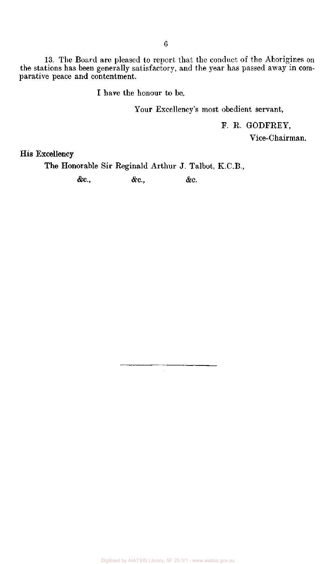13. The Board are pleased to report that the conduct of the Aborigines on the stations has been generally satisfactory, and the year has passed away in comparative peace and contentment.

I have the honour to be,

Your Excellency's most obedient servant,

F. R. GODFREY,

Vice-Chairman.

**His** Excellency

**The** Honorable Sir Reginald Arthur J. Talbot, K.C.B.,

**&c, &c,** &c.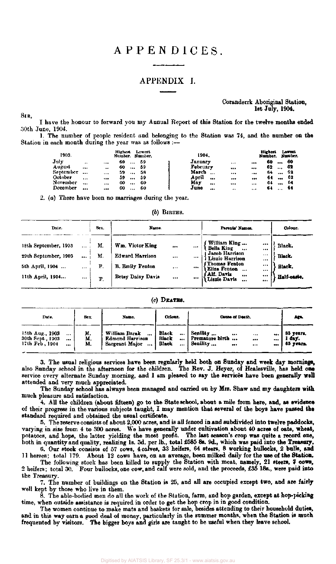# APPENDICES .

### APPENDIX I.

#### Coranderrk Aboriginal Station, 1st July, 1904.

I have the honour to forward you my Annual Report of this Station for the twelve months ended 30th June, 1904.

1. The number of people resident and belonging to the Station was 74, and the number on the Station in each month during the year was as follows :—

| 1903.     |          |           | Highert<br>Number. Number. | Lowest          |  | 1904.    |      |           |                         | <b>Highest</b><br>Number. |          | Lowest<br>Number. |
|-----------|----------|-----------|----------------------------|-----------------|--|----------|------|-----------|-------------------------|---------------------------|----------|-------------------|
| July      | $\cdots$ | $\cdots$  | 60                         | 59<br>$\cdots$  |  | January  |      |           | $\bullet\bullet\bullet$ | 60                        |          | 60                |
| August    |          | $\bullet$ | 60                         | 59<br>$\ddotsc$ |  | February |      |           | $$                      | 62                        |          | 62                |
| September | $\cdots$ |           | 59                         | 58<br>          |  | March    | 5.54 |           |                         | 64                        |          | 62                |
| October   | 1.14     |           | 59                         | 59<br>          |  | April    | $$   | $$        | $\cdots$                | 64                        | $$       | 62                |
| November  | $\cdots$ | 1.14      | 60                         | 60<br>          |  | May      |      |           |                         | 64                        |          | -64               |
| December  |          |           | 60                         | 60<br>$\cdots$  |  | June     |      | $\bullet$ |                         | 64                        | $\cdots$ | -64               |

2. *(a)* There have been no marriages during the year.

*(b)* BIRTHS.

| Date.                                                                               | Sex.                             | Name.                                                                                    |                               |                          | Parents' Names.                                                                                                                                              |                                                | Colour.                                   |
|-------------------------------------------------------------------------------------|----------------------------------|------------------------------------------------------------------------------------------|-------------------------------|--------------------------|--------------------------------------------------------------------------------------------------------------------------------------------------------------|------------------------------------------------|-------------------------------------------|
| 18th September, 1903<br>29th September, 1903<br>5th April, 1904<br>11th April, 1904 | <br><br><br>М.<br>М.<br>F.<br>F. | Wm. Victor King<br><b>Edward Harrison</b><br><b>B. Emily Fenton</b><br>Betsy Daisy Davis | $\cdots$<br><br>$\bullet$<br> | <br>1.11<br>$\cdots$<br> | William King<br>Bella King<br>Jacob Harrison<br>Lizzie Harrison<br>Thomas Fenton)<br>Eliza Fenton<br>$\ddotsc$<br>Alf. Davis<br>$\cdots$<br>Lizzie Davis<br> | <br><br><br><br>$\cdots$<br>$\cdots$<br>$$<br> | Black.<br>Black.<br>Black.<br>Half-caste. |

 $(c)$  DEATHS.

| Date.                                                                     | Sex.           | Name.                                                                     | Colour.                                           | Cause of Death.                                                               | Ago.                             |
|---------------------------------------------------------------------------|----------------|---------------------------------------------------------------------------|---------------------------------------------------|-------------------------------------------------------------------------------|----------------------------------|
| 15th Aug., 1903<br>$\cdots$<br>30th Sept., 1903<br><br>17th Feb. 1904<br> | M.<br>м.<br>M. | William Barak<br><br><b>Edmond Harrison</b><br>Sargeant Major<br>$\cdots$ | Black<br><br><b>Black</b><br><br><b>Black</b><br> | Senility<br>$$<br><br>$$<br>Premature birth<br>$$<br><br>Senility<br><br><br> | 85 years.<br>l day.<br>65 усага. |

3. The usual religious services have been regularly held both on Sunday and week day mornings, also Sunday school in the afternoon for the children. The Rev. J. Heyer, of Healesville, has held one service every alternate Sunday morning, and I am pleased to say the services have been generally well attended and very much appreciated.

The Sunday school has always been managed and carried on by Mrs. Shaw and my daughters with much pleasure and satisfaction.

4. All the children (about fifteen) go to the State school, about a mile from here, and, as evidence of their progress in the various subjects taught, I may mention that several of the boys have passed the standard required and obtained the usual certificate.

5. The reserve consists of about 2,000 acres, and is all fenced in and subdivided into twelve paddocks, varying in size from 4 to 300 acres. We have generally under cultivation about 40 acres of oats, wheat, potatoes, and hops, the latter yielding the most profit. The last season's crop was quite a record one, both in quantity and quality, realizing 1s. 5d. per lb., total £586 8s. 9d., which was paid into the Treasury.

6. Our stock consists of 57 cows, 4 calves, 33 heifers, 64 steers, 8 working bullocks, 2 bulls, and 11 horses; total 179. About 12 cows have, on an average, been milked daily for the use of the Station.

The following stock has been killed to supply the Station with meat, namely, 21 steers, 7 cows, 2 heifers; total 30. Four bullocks, one cow, and calf were sold, and the proceeds, £35 18s., were paid into the Treasury.

7. The number of buildings on the Station is 25, and all are occupied except two, and are fairly well kept by those who live in them.

8. The able-bodied men do all the work of the Station, farm, and hop garden, except at hop-picking time, when outside assistance is required in order to get the hop crop in in good condition.

The women continue to make mats and baskets for sale, besides attending to their household duties, and in this way earn a good deal of money, particularly in the summer months, when the Station is much frequented by visitors. The bigger boys and girls are taught to be useful when they leave school.

SIR,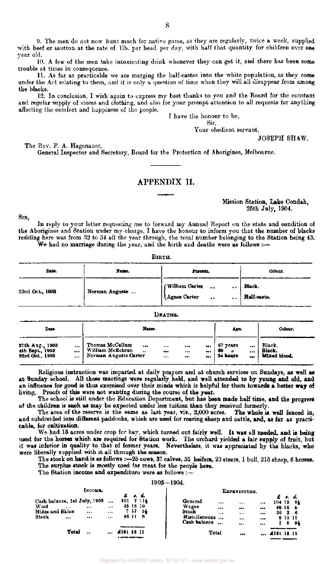9. The men do not now hunt much for native game, as they are regularly, twice a week, supplied with beef or mutton at the rate of 1lb. per head per day, with half that quantity for children over one year old.

10. A few of the men take intoxicating drink whenever they can get it, and there has been some trouble at times in consequence.

11. As far as practicable we are merging the half-castes into the white population, as they come under the Act relating to them, and it is only a question of time when they will all disappear from among the blacks.

12. In conclusion, I wish again to express my best thanks to you and the Board for the constant and regular supply of stores and clothing, and also for your prompt attention to all requests for anything affecting the comfort and happiness of the people.

I have the honour to be,

Sir, Your obedient servant,

**24 hours ...** 

JOSEPH SHAW.

Mission Station, Lake Condah, 25th July, 1904.

**Mixed blood.** 

The Rev. F. A. Hagenauer, General Inspector and Secretary, Board for the Protection of Aborigines, Melbourne.

#### APPENDIX II.

#### SIR,

**23rd Oct., 1903** 

 $\ddotsc$ 

In reply to your letter requesting me to forward my Annual Report on the state and condition of the Aborigines and Station under my charge, I have the honour to inform you that the number of blacks residing here was from 32 to 34 all the year through, the total number belonging to the Station being 43. We had no marriage during the year, and the birth and deaths were as follows :—

|                                    |              |                                     |                          | .       |                                |                                              |                                   |                       |                  |  |
|------------------------------------|--------------|-------------------------------------|--------------------------|---------|--------------------------------|----------------------------------------------|-----------------------------------|-----------------------|------------------|--|
| Date.                              | Namo.        |                                     |                          |         |                                | Parents.                                     |                                   | Colour.               |                  |  |
| 22nd Oct., 1903                    |              | Norman Auguste                      |                          |         | William Carter<br>Agnes Carter | $\ddot{\phantom{a}}$<br>$\ddot{\phantom{a}}$ | $\ddotsc$<br>$\ddot{\phantom{a}}$ | Black.<br>Half-caste. |                  |  |
|                                    |              |                                     |                          | DEATHS. |                                |                                              |                                   |                       |                  |  |
| Date.                              |              |                                     | Name.                    |         |                                |                                              | Age.                              |                       | Colour.          |  |
| 27th Aug., 1903<br>4th Sept., 1903 | <br>$\cdots$ | Thomas McCallum<br>William McEchran | <br>$\ddot{\phantom{a}}$ | <br>    | <br>                           | <br>                                         | 67 years<br>80<br>49              | <br>                  | Black,<br>Black, |  |

Religious instruction was imparted at daily prayers and at church services on Sundays, as well as at Sunday school. All these meetings were regularly held, and well attended to by young and old, and an influence for good is thus exercised over their minds which is helpful for them towards a better way of living. Proofs of this were not wanting during the course of the year.

Norman Auguste Carter ... ... ... ...

The school is still under the Education Department, but has been made half time, and the progress of the children is such as may be expected under less tuition than they received formerly.

The area of the reserve is the same as last year, viz., 2,000 acres. The whole is well fenced in, and subdivided into different paddocks, which are used for rearing sheep and cattle, and, as far as practicable, for cultivation.

We had 15 acres under crop for hay, which turned out fairly well. It was all needed, and is being used for the horses which are required for Station work. The orchard yielded a fair supply of fruit, but it was inferior in quality to that of former years. Nevertheless, it was appreciated by the blacks, who were liberally supplied with it all through the season.

The stock on hand is as follows :—25 cows, 37 calves, 35 heifers, 23 steers, 1 bull, 215 sheep, 6 horses. The surplus stock is mostly used for meat for the people here.

The Station income and expenditure were as follows :-

1903—1904. **EXPENDITURE. INC OME.**  *£ s***.** *d.*  **£ s.**  *d.*  **Cash balance, 1st July, 1903 . 101 7 11 1/2 General 104 12**  *2 1/2*  **35 16 10 Wool**  ... **Wages 40 18**   $\ddotsc$  $\ddot{\phantom{0}}$  $\cdots$ **6**  ... **Hides and Skins 7 17 6 1/2**   $\ddotsc$ **Stock**  ... **36 2 6**   $\ddotsc$ ... **Miscellaneous Stock 46 11 8**   $\bullet\bullet\bullet$  $\ddotsc$ **8 13 11**  ... **Cash balance 1 6**  *9 1/2*   $\ddotsc$ ... **Total .. . £191 13 11 Total £191 13**  11  $\ddot{\bullet}$ 

Digitised by AIATSIS Library, SF 25.3/1 - www.aiatsis.gov.au

# BIRTH.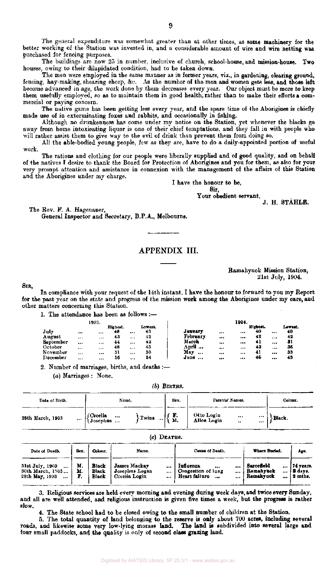The general expenditure was somewhat greater than at other times, as some machinery for the better working of the Station was invested in, and a considerable amount of wire and wire netting was purchased for fencing purposes.

The buildings are now 25 in number, inclusive of church, school-house, and mission-house. Two houses, owing to their dilapidated condition, had to be taken down.

The men were employed in the same manner as in former years, viz., in gardening, clearing ground, fencing, hay-making, shearing sheep, &c. As the number of the men and women gets less, and those left become advanced in age, the work done by them decreases every year. Our object must be more to keep them usefully employed, so as to maintain them in good health, rather than to make their efforts a commercial or paying concern.

The native game has been getting less every year, and the spare time of the Aborigines is chiefly made use of in exterminating foxes and rabbits, and occasionally in fishing.

Although no drunkenness has come under my notice on the Station, yet whenever the blacks go away from home intoxicating liquor is one of their chief temptations, and they fall in with people who will rather assist them to give way to the evil of drink than prevent them from doing so.

All the able-bodied young people, few as they are, have to do a daily-appointed portion of useful work.

The rations and clothing for our people were liberally supplied and of good quality, and on behalf of the natives I desire to thank the Board for Protection of Aborigines and you for them, as also for your very prompt attention and assistance in connexion with the management of the affairs of this Station and the Aborigines under my charge.

I have the honour to be,

Sir,

Your obedient servant, J. H. STAHLE.

The Rev. F. A. Hagenauer, General Inspector and Secretary, B.P.A., Melbourne.

# APPENDIX III.

#### Ramahyuck Mission Station, 21st July, 1904.

SIR,

In compliance with your request of the 14th instant, I have the honour to forward to you my Report for the past year on the state and progress of the mission work among the Aborigines under my care, and other matters concerning this Station.

1. The attendance has been as **follows :—** 

|           |          | 1903. |          |          |         |          |          | 1904. |          |         |
|-----------|----------|-------|----------|----------|---------|----------|----------|-------|----------|---------|
|           |          |       | Highest. |          | Lowest. |          |          |       | Highest. | Lowest. |
| July      |          |       | 48       | $\cdots$ | 43      | January  |          |       | 40       | <br>40  |
| August    | $\cdots$ |       | 43       | $\cdots$ | 42      | February | $***$    |       | 42       | <br>42  |
| September |          |       | 44       |          | 42      | March    |          |       | 41       | <br>31  |
| October   |          |       | 48       |          | 43      | April    |          |       | 43       | <br>36  |
| November  | $\cdots$ |       | 51       | $\cdots$ | 50      | May<br>  |          |       | 41       | <br>33  |
| December  |          |       | 56       |          | 54      | June     | $\cdots$ |       | 46       | <br>43  |
|           |          |       |          |          |         |          |          |       |          |         |

2. Number of marriages, births, and deaths :-

*(a)* Marriages : None.

*(b)* BIRTHS.

| Date of Birth.       | Name.                                         | Sex.       | Parents' Names.                                           | Colour. |
|----------------------|-----------------------------------------------|------------|-----------------------------------------------------------|---------|
| 28th March, 1903<br> | (Cecelia<br>  { Josephus<br>Twins<br>$\cdots$ | . г.<br>М. | Otto Login<br>Alice Login<br><br><br><br>$\bullet\bullet$ | Black.  |

#### $(c)$  DEATHS.

| Date of Death.                                        | Sex.           | Colour.                 | Name.                                                       | Cause of Death.                                                                      | Where Burled.                                        | Age.                                       |
|-------------------------------------------------------|----------------|-------------------------|-------------------------------------------------------------|--------------------------------------------------------------------------------------|------------------------------------------------------|--------------------------------------------|
| 31st July, 1903<br>30th March, 1303<br>28th May, 1903 | М.<br>M.<br>F. | Black<br>Black<br>Black | James Mackay<br><br>Josenhus Logan<br><br>Cecelia Login<br> | Influenza<br><br><br>Congestion of lung<br>$\cdots$<br>Heart failure<br>$\cdots$<br> | Sarcefield<br>$\cdots$<br>Ramahyuck<br><br>Ramahyuck | 174 years.<br><b>12 davs.</b><br>  2 mths. |

3. Religious services are held every morning and evening during week days, and twice every Sunday, and all are well attended, and religious instruction is given five times a week, but the progress is rather slow.

4. The State school had to be closed owing to the small number of children at the Station.

5. The total quantity of land belonging to the reserve is only about 700 acres, including several roads, and likewise some very low-lying morass land. The land is subdivided into several large and four small paddocks, and the quality is only of second class grazing land.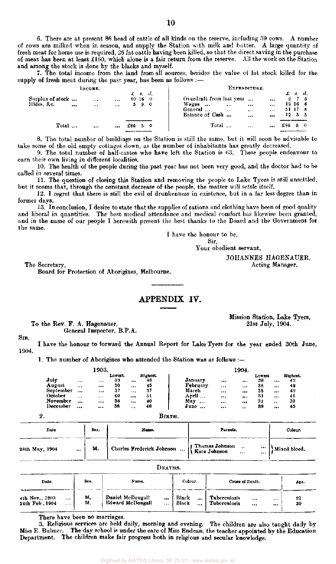7. The total income from the land from all sources, besides the value of fat stock killed for the supply of fresh meat during the past year, has been as follows :-

| Імсомв.                        |          |                     |                      |         |                        | EXPENDITURE. |                                                                                                                                                      |                                     |     |                                                          |    |  |  |
|--------------------------------|----------|---------------------|----------------------|---------|------------------------|--------------|------------------------------------------------------------------------------------------------------------------------------------------------------|-------------------------------------|-----|----------------------------------------------------------|----|--|--|
| Surplus of stock<br>Hides, &c. | $\cdots$ | $+ + +$<br>$\cdots$ | $\cdots$<br>$\cdots$ | 80 16 0 | $\pounds$ s. d.<br>590 |              | Overdraft from last year<br>$\cdots$<br>Wages<br>$\ddotsc$<br>$\cdots$<br>$\cdots$<br>General<br>$\cdots$<br>$\cdots$<br>Balance of Cash<br>$\cdots$ | $\cdots$<br><br>$+ + +$<br>$\cdots$ |     | $\pounds$ s. d.<br>275<br>19166<br>51178<br>$12 \t3 \t5$ |    |  |  |
| Total                          |          | $\cdots$            |                      | £86.    |                        | - 0          | Total<br>$\cdots$                                                                                                                                    |                                     | £86 |                                                          | 50 |  |  |

8. The total number of buildings on the Station is still the same, but it will soon be advisable to take some of the old empty cottages down, as the number of inhabitants has greatly decreased.

9. The total number of half-castes who have left the Station is 63. These people endeavour to earn their own living in different localities.

10. The health of the people during the past year has not been very good, and the doctor had to be called in several times.

11. The question of closing this Station and removing the people to Lake Tyers is still unsettled, but it seems that, through the constant decrease of the people, the matter will settle itself.

12. I. regret that there is still the evil of drunkenness in existence, but in a far less degree than in former days.

13. In conclusion, I desire to state that the supplies of rations and clothing have been of good quality and liberal in quantities. The best medical attendance and medical comfort has likewise been granted, and in the name of our people I herewith present the best thanks to the Board and the Government for the same.

I have the honour to be,

Sir, Your obedient servant,

> JOHANNES HAGENAUER, Acting Manager.

The Secretary,

Board for Protection of Aborigines, Melbourne.

## APPENDIX IV.

To the Rev. P. A. Hagenauer, General Inspector, B.P.A. Mission Station, Lake Tyers, 21st July, 1904.

SIR, 1904. I have the honour to forward the Annual Report for Lake Tyers for the year ended 30th June,

1. The number of Aborigines who attended the Station was as follows :—

|           |          | 1903. |         |          |          |                 |                         | 1904.                |        |           |          |
|-----------|----------|-------|---------|----------|----------|-----------------|-------------------------|----------------------|--------|-----------|----------|
|           |          |       | Lowest. |          | Highest. |                 |                         |                      | Loweat |           | Highest. |
| July      |          |       | 39      |          | 46       | January         | $\bullet\bullet\bullet$ |                      | 38     |           | 42       |
| August    | $\cdots$ |       | 30      | $\cdots$ | 45       | February        |                         | .                    | 38     | $\cdots$  | 42       |
| September |          |       | 37      | $\cdots$ | 37       | March           |                         |                      | 38     |           | 42       |
| October   |          | $***$ | 40      |          | 51       | April           |                         |                      | -31    |           | 41       |
| November  |          |       | 38      |          | 40       | May<br>$\cdots$ |                         |                      | 32     | $\bullet$ | -39      |
| December  |          |       | 38      | $\cdots$ | 40       | June            |                         | $\ddot{\phantom{0}}$ | 39     |           | 45       |

| Date                       | Sex. | Name.                                                       | Parents.     | Colour.      |
|----------------------------|------|-------------------------------------------------------------|--------------|--------------|
| 28th May, 1904<br>$\cdots$ | м.   | Charles Frederick Johnson $$ $\begin{cases}$ Thomas Johnson | $\cdots$<br> | Mixed blood. |

|                                                       |          |                                      | Deaths.      |                                 |                              |                 |      |          |  |  |  |
|-------------------------------------------------------|----------|--------------------------------------|--------------|---------------------------------|------------------------------|-----------------|------|----------|--|--|--|
| Date.                                                 | Sex.     | Name,                                |              | Colour.                         |                              | Cause of Death. |      |          |  |  |  |
| 4th Nov., 1903<br>$***$<br>24th Feb, 1904<br>$\cdots$ | М.<br>М. | Daniel McDougall<br>Edward McDougall | <br>$\cdots$ | Black<br>$\ddotsc$<br>Black<br> | Tuberculosis<br>Tuberculosis | <br>            | <br> | 21<br>30 |  |  |  |

There have been no marriages.

3. Religious services are held daily, morning and evening. The children are also taught daily by Miss E. Bulmer. The day school is under the care of Miss Endean, the teacher appointed by the Education Department. The children make fair progress both in religious and secular knowledge.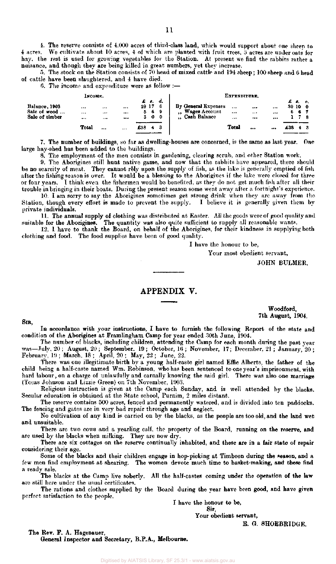4. The reserve consists of 4.000 acres of third-class land, which would support about one sheep to 4 acres. We cultivate about 10 acres, 4 of which are planted with fruit trees, 3 acres are under oats for We cultivate about 10 acres, 4 of which are planted with fruit trees, 3 acres are under oats for hay, the rest is used for growing vegetables for the Station. At present we find the rabbits rather a nuisance, and though they are being killed in great numbers, yet they increase.

5. The stock on the Station consists of 70 head of mixed cattle and 194 sheep; 100 sheep and 6 head of cattle have been slaughtered, and 4 have died.

6. The income and expenditure were as follow :—

|                                                 | EXPENDITURE,  |           |                  |     |                                  |                 |                                                                                       |                  |                  |          |     |                        |    |
|-------------------------------------------------|---------------|-----------|------------------|-----|----------------------------------|-----------------|---------------------------------------------------------------------------------------|------------------|------------------|----------|-----|------------------------|----|
| Balance, 1903<br>Sale of wood<br>Sale of timber | <br>$***$<br> | <br><br>. | <br><br>$\cdots$ |     | £ s.<br>29 17<br>569<br>$\bf{0}$ | d.<br>-6<br>- 0 | By General Expenses<br>Wages Account<br>$\bullet$<br><b>Cash Balance</b><br>$\bullet$ | <br>$\cdots$<br> | $\cdots$<br><br> | <br><br> | 6   | £ e. a.<br>30 10<br>6. | -0 |
|                                                 | Total         |           | $\cdots$         | £38 |                                  | з               |                                                                                       | Total            |                  |          | £38 |                        |    |

7. The number of buildings, so far as dwelling-houses are concerned, is the same as last year. One large hay-shed has been added to the buildings.

8. The employment of the men consists in gardening, clearing scrub, and other Station work.

9. The Aborigines still hunt native game, and now that the rabbits have appeared, there should be no scarcity of meat. They cannot rely upon the supply of fish, as the lake is generally emptied of fish after the fishing season is over. It would be a blessing to the Aborigines if the lake were closed for three or four years. I think even the fishermen would be benefited, as they do not get much fish after all their trouble in bringing in their boats. During the present season some went away after a fortnight's experience.

10. I am sorry to say the Aborigines sometimes get strong drink when they are away from the, Station, though every effort is made to prevent the supply. I believe it is generally given them by private individuals.

11. The annual supply of clothing was distributed at Easter. All the goods were of good quality and suitable for the Aborigines. The quantity was also quite sufficient to supply all reasonable wants.

12. 1 have to thank the Board, on behalf of the Aborigines, for their kindness in supplying both clothing and food. The food supplies have been of good quality.

I have the honour to be,

Your most obedient servant,

JOHN BULMER.

#### APPENDIX V.

#### Woodford, 7th August, 1904.

SIR,

In accordance with your instructions, I have to furnish the following Report of the state and condition of the Aborigines at Framlingham Camp for year ended 30th June, 1904.

The number of blacks, including children, attending the Camp for each month during the past year was—July, 20 ; August, 20 ; September, 19; October, 16; November, 17; December. 21 ; January, 20; February, 19 ; March, 18 ; April, 20 ; May, 22 ; June, 22.

There was one illegitimate birth by a young half-caste girl named Effie Alberts, the father of the child being a half-caste named Wm. Robinson, who has been sentenced to one year's imprisonment, with hard labour, on a charge of unlawfully and carnally knowing the said girl. There was also one marriage (Tecas Johnson and Lizzie Green) on 7th November, 1903.

Religious instruction is given at the Camp each Sunday, and is well attended by the blacks. Secular education is obtained at the State school, Purnim, 2 miles distant.

The reserve contains 500 acres, fenced and permanently watered, and is divided into ten paddocks. The fencing and gates are in very bad repair through age and neglect.

No cultivation of any kind is carried on by the blacks, as the people are too old, and the land wet and unsuitable.

There are two cows and a yearling calf, the property of the Board, running on the reserve, and are used by the blacks when milking. They are now dry.

There are six cottages on the reserve continually inhabited, and these are in a fair state of repair considering their age.

Some of the blacks and their children engage in hop-picking at Timboon during the season, and a few men find employment at shearing. The women devote much time to basket-making, and these find a ready sale.

The blacks at the Camp live soberly. All the half-castes coming under the operation of the law are still here under the usual certificates.

The rations and clothes supplied by the Board during the year have been good, and have given perfect satisfaction to the people.

I have the honour to be,

Sir, Your obedient servant,

E. G. SHOEBRIDGE.

The Rev. F. A. Hagenauer,

General Inspector and Secretary, B.P.A., Melbourne.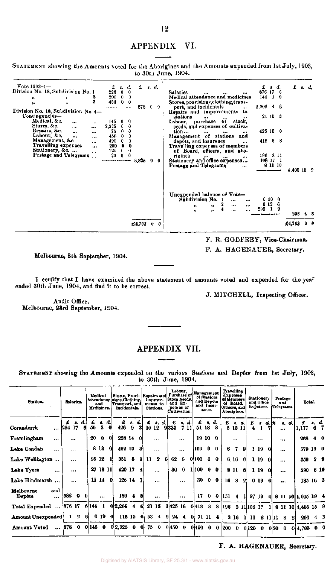# APPENDIX VI.

STATEMENT showing the Amounts voted for the Aborigines and the Amounts expended from 1st July, 1903, to 30th June, 1904.

| $Vote 1903 - 4 -$<br>£<br>s. d.<br>а.<br>£r.d.<br>£<br>d.<br>8.<br>$\bullet$<br>Division No. 18, Subdivision No. 1<br>876 17<br>$\mathbf{0}$<br>223<br>-6<br>0<br><b>Salaries</b><br>$\mathbf{0}$<br>Medical attendance and medicines<br>200<br>$\bf{0}$<br>144<br>0<br>,,<br>,,<br>3<br>450<br>$0\quad 0$<br>Stores, provisions, clothing, trans-<br>$\bullet\bullet$<br>,,<br>$2,206$ 4 6<br>878<br>port, and incidentals<br>0.<br>0<br>$\cdots$<br>Division No. 18, Subdivision No. 4-<br>Repairs and improvements to<br>Contingencies-<br>21, 15, 3<br>stations<br>$\cdots$<br><br>$***$<br>Medical, &c.<br>145<br>Labour, purchase of stock,<br>$\mathbf{0}$<br>0<br><br>$\cdots$<br>Stores, &c.<br>2,525<br>seeds, and expenses of cultiva-<br>0<br>0<br><br>$\cdots$<br>Repairs, &c.<br>0<br>425160<br>0<br>75<br>tion<br>$\cdots$<br>$\cdots$<br><br>$\cdots$<br><br>Labour, &c.<br>0<br>Management of stations<br>450.<br>0<br>and<br>$\ddotsc$<br><br>Management, &c.<br>41888<br>depôts, and insurance<br>490<br>0<br>0<br>$\cdots$<br><br>Travelling expenses<br>200<br>0<br>0<br>Travelling expenses of members<br><br>Stationery, &c.<br>0<br>120<br>0<br>of Board, officers, and abo-<br>$\cdots$<br>Postage and Telegrams<br>0<br>196 3 11<br>0<br>20<br>rigines<br>$\ddotsc$<br><br>144.<br><br>Stationery and office expenses<br>108 17 1<br>3,825<br>0.<br>-0<br>81110<br>Postage and Telegrams<br>$\cdots$<br>Unexpended balance of Vote-<br>Subdivision No. 1<br>010<br>0<br>$\cdots$<br><br>012<br>6<br><br>$\cdots$<br>12<br>11<br>$295 - 1$<br>Ω<br>$\mathbf{H}$<br>$\pmb{\vphantom{a}}$<br><br>$\cdots$<br>296<br>£4,703<br>£4,703 U |  |  |  |  |
|---------------------------------------------------------------------------------------------------------------------------------------------------------------------------------------------------------------------------------------------------------------------------------------------------------------------------------------------------------------------------------------------------------------------------------------------------------------------------------------------------------------------------------------------------------------------------------------------------------------------------------------------------------------------------------------------------------------------------------------------------------------------------------------------------------------------------------------------------------------------------------------------------------------------------------------------------------------------------------------------------------------------------------------------------------------------------------------------------------------------------------------------------------------------------------------------------------------------------------------------------------------------------------------------------------------------------------------------------------------------------------------------------------------------------------------------------------------------------------------------------------------------------------------------------------------------------------------------------------------------------------------------------------------|--|--|--|--|
|                                                                                                                                                                                                                                                                                                                                                                                                                                                                                                                                                                                                                                                                                                                                                                                                                                                                                                                                                                                                                                                                                                                                                                                                                                                                                                                                                                                                                                                                                                                                                                                                                                                               |  |  |  |  |
|                                                                                                                                                                                                                                                                                                                                                                                                                                                                                                                                                                                                                                                                                                                                                                                                                                                                                                                                                                                                                                                                                                                                                                                                                                                                                                                                                                                                                                                                                                                                                                                                                                                               |  |  |  |  |
|                                                                                                                                                                                                                                                                                                                                                                                                                                                                                                                                                                                                                                                                                                                                                                                                                                                                                                                                                                                                                                                                                                                                                                                                                                                                                                                                                                                                                                                                                                                                                                                                                                                               |  |  |  |  |
|                                                                                                                                                                                                                                                                                                                                                                                                                                                                                                                                                                                                                                                                                                                                                                                                                                                                                                                                                                                                                                                                                                                                                                                                                                                                                                                                                                                                                                                                                                                                                                                                                                                               |  |  |  |  |
| 4,406 15 9                                                                                                                                                                                                                                                                                                                                                                                                                                                                                                                                                                                                                                                                                                                                                                                                                                                                                                                                                                                                                                                                                                                                                                                                                                                                                                                                                                                                                                                                                                                                                                                                                                                    |  |  |  |  |
|                                                                                                                                                                                                                                                                                                                                                                                                                                                                                                                                                                                                                                                                                                                                                                                                                                                                                                                                                                                                                                                                                                                                                                                                                                                                                                                                                                                                                                                                                                                                                                                                                                                               |  |  |  |  |
|                                                                                                                                                                                                                                                                                                                                                                                                                                                                                                                                                                                                                                                                                                                                                                                                                                                                                                                                                                                                                                                                                                                                                                                                                                                                                                                                                                                                                                                                                                                                                                                                                                                               |  |  |  |  |
|                                                                                                                                                                                                                                                                                                                                                                                                                                                                                                                                                                                                                                                                                                                                                                                                                                                                                                                                                                                                                                                                                                                                                                                                                                                                                                                                                                                                                                                                                                                                                                                                                                                               |  |  |  |  |
|                                                                                                                                                                                                                                                                                                                                                                                                                                                                                                                                                                                                                                                                                                                                                                                                                                                                                                                                                                                                                                                                                                                                                                                                                                                                                                                                                                                                                                                                                                                                                                                                                                                               |  |  |  |  |
|                                                                                                                                                                                                                                                                                                                                                                                                                                                                                                                                                                                                                                                                                                                                                                                                                                                                                                                                                                                                                                                                                                                                                                                                                                                                                                                                                                                                                                                                                                                                                                                                                                                               |  |  |  |  |
|                                                                                                                                                                                                                                                                                                                                                                                                                                                                                                                                                                                                                                                                                                                                                                                                                                                                                                                                                                                                                                                                                                                                                                                                                                                                                                                                                                                                                                                                                                                                                                                                                                                               |  |  |  |  |
|                                                                                                                                                                                                                                                                                                                                                                                                                                                                                                                                                                                                                                                                                                                                                                                                                                                                                                                                                                                                                                                                                                                                                                                                                                                                                                                                                                                                                                                                                                                                                                                                                                                               |  |  |  |  |
|                                                                                                                                                                                                                                                                                                                                                                                                                                                                                                                                                                                                                                                                                                                                                                                                                                                                                                                                                                                                                                                                                                                                                                                                                                                                                                                                                                                                                                                                                                                                                                                                                                                               |  |  |  |  |
|                                                                                                                                                                                                                                                                                                                                                                                                                                                                                                                                                                                                                                                                                                                                                                                                                                                                                                                                                                                                                                                                                                                                                                                                                                                                                                                                                                                                                                                                                                                                                                                                                                                               |  |  |  |  |

F. R. GODFREY, Vice-Chairman.

F. A. HAGENAUER, Secretary.

Melbourne, 8th September, 1904.

I certify that I have examined the above statement of amounts voted and expended for the yea<sup>r</sup> ended 30th June, 1904, and find it to be correct.

J. MITCHELL, Inspecting Officer.

Audit Office, Melbourne, 23rd September, 1904.

## APPENDIX VII.

STATEMENT showing the Amounts expended on the various Stations and Depôts from 1st July, 1903, to 30th June, 1904.

| Station.                                      |                     | Salaries.  |                    | Medicines. | Medical<br>and |      | Stores, Provi- Repairs and<br>Attendance sions. Clothing.<br>Transport, and<br>Incidentala. |    |              |              | Improve-<br>ments to<br>Stations. |     | Purchase of<br>Stock Seeds.<br>and Ex-<br>penses of<br>Cultivation. | Labour,      | <b>Management</b><br>and Depôta<br>and Insur-  | of Stations<br>ance. |             | of Members<br>Officers, and<br>Aborigines. | <b>Travelling</b><br><b>Expenses</b><br>of Board, |     |           | <b>Stationery</b><br>and Office<br>Expenses. |    | Postage<br>and<br>Telegrams. |       | Total.               |                |                |
|-----------------------------------------------|---------------------|------------|--------------------|------------|----------------|------|---------------------------------------------------------------------------------------------|----|--------------|--------------|-----------------------------------|-----|---------------------------------------------------------------------|--------------|------------------------------------------------|----------------------|-------------|--------------------------------------------|---------------------------------------------------|-----|-----------|----------------------------------------------|----|------------------------------|-------|----------------------|----------------|----------------|
| Coranderrk                                    | £<br>$\dots$ 294 17 |            | <b>t.</b> d.<br>61 | 50         | t. d.<br>3     |      | €<br>426                                                                                    | -9 | s. d.l<br>31 | £            | s. d.l<br>10 12                   |     | £<br>$9 333 \quad 7 11 $                                            | s. d.        | £<br>51 18 8                                   |                      | s. d.       | £                                          | s. d.<br>5 15 11                                  |     | £<br>4    | a. d.  2                                     |    |                              | s. d. | 1,177                |                | 67             |
| Framlingham<br>$\ddotsc$                      |                     | $\cdots$   |                    | 20         | $\mathbf 0$    | -01  | 228 14                                                                                      |    | -01          |              | $\cdots$                          |     |                                                                     | $\cdots$     |                                                | 19100                |             |                                            | $\cdots$                                          |     |           | $\cdots$                                     |    | $\cdots$                     |       | 268                  |                | $4\theta$      |
| Lake Condah<br>$\cdots$                       |                     | $\cdots$   |                    |            | 813            | - Ol | 462 19 3                                                                                    |    |              |              | $\cdots$                          |     |                                                                     | $\cdots$     | 100 0 0                                        |                      |             | 6                                          | 7                                                 | 9   |           | 1 19                                         |    | $\cdots$                     |       | 579 19 0             |                |                |
| Lake Wellington                               |                     | $\cdots$   |                    |            | 25 12          |      | 351 <sub>5</sub>                                                                            |    | 81           | $\mathbf{u}$ | 2                                 | 61  | 62                                                                  | 8            | $0 100 \t0$                                    |                      | $\mathbf 0$ |                                            | 6 16                                              | 6   |           | 119                                          |    | $\ddotsc$                    |       | 559                  | 3 <sub>9</sub> |                |
| Lake Tyers<br>$\cdots$                        |                     | $\cdots$   |                    |            | 27 18 11       |      | 420 17                                                                                      |    | -41          |              | $\cdots$                          |     | 30                                                                  | $\mathbf{0}$ | $1 100 \t0 \t0$                                |                      |             |                                            | 9 11                                              | -6  |           | 1 19                                         |    | $\cdots$                     |       | 590 6 10             |                |                |
| Lake Hindmarsh                                |                     | $\cdots$   |                    |            | 11 14 0        |      | 126 14                                                                                      |    | 7            |              | $\cdots$                          |     |                                                                     | $\cdots$     | 30                                             |                      | $0\quad 0$  |                                            | 16 8                                              | -21 |           | 019                                          |    |                              |       | 185 16 3             |                |                |
| Melbourne<br>and<br><b>Depôts</b><br>$\cdots$ | 582 0               |            | -01                |            | $\cdots$       |      | $189 + 4$                                                                                   |    | -51          |              |                                   |     |                                                                     |              |                                                |                      |             | $17 \t0 \t0  151 \t4  1$                   |                                                   |     |           | 97 19                                        |    |                              |       | 018111011.0451944    |                |                |
| Total Expended  [876 17                       |                     |            |                    | 6144 1     |                |      | $0 2,206$ 4                                                                                 |    | 6.           |              |                                   |     |                                                                     |              |                                                |                      |             | 21 15 3 425 16 0 418 8 8 196 3 11 108 17   |                                                   |     |           |                                              | 1l |                              |       | 8 11 10 4,406 15 9   |                |                |
| <b>Amount Unexpended</b>                      |                     | $1\quad 2$ | -61                |            | 0190           |      | $118$ 15 6                                                                                  |    |              |              | $53 \quad 4$                      | -91 |                                                                     |              | $24 \quad 4 \quad 0 \quad 71 \quad 11 \quad 4$ |                      |             |                                            |                                                   |     | 3 16 1 11 |                                              |    | 2 11 11 8                    | -21   | 296                  |                | $4 \quad 3$    |
| 878 0 0 145 0<br>Amount Voted                 |                     |            |                    |            |                |      | $0 2,325 \quad 0 \quad 0$                                                                   |    |              |              | 75 0                              |     | $0 450 \t0$                                                         |              |                                                |                      |             | $0 490 \t0 \t0  200 \t0 \t0  120 \t0$      |                                                   |     |           |                                              |    |                              |       | $0 20 \t0 \t0 4,703$ |                | 0 <sub>0</sub> |

F. A. HAGENAUER, Secretary.